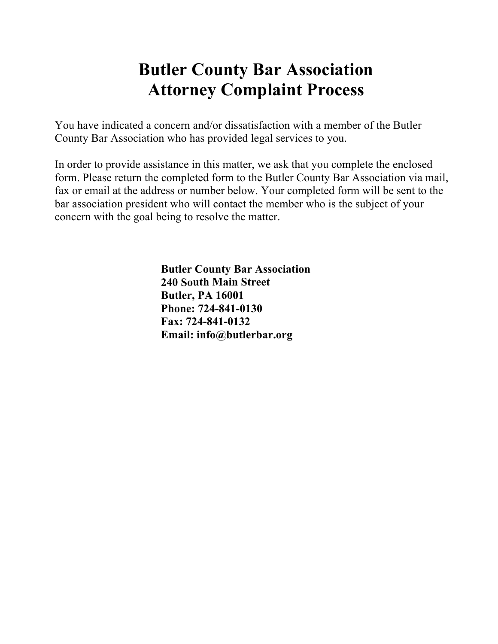## **Butler County Bar Association Attorney Complaint Process**

You have indicated a concern and/or dissatisfaction with a member of the Butler County Bar Association who has provided legal services to you.

In order to provide assistance in this matter, we ask that you complete the enclosed form. Please return the completed form to the Butler County Bar Association via mail, fax or email at the address or number below. Your completed form will be sent to the bar association president who will contact the member who is the subject of your concern with the goal being to resolve the matter.

> **Butler County Bar Association 240 South Main Street Butler, PA 16001 Phone: 724-841-0130 Fax: 724-841-0132 Email: info@butlerbar.org**